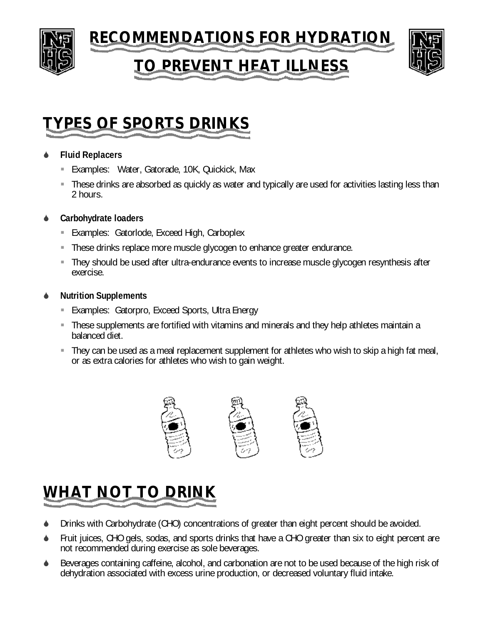

### **TO PREVENT HEAT ILLNESS**



### **TYPES OF SPORTS DRINKS**

#### S **Fluid Replacers**

- **Examples: Water, Gatorade, 10K, Quickick, Max**
- **These drinks are absorbed as quickly as water and typically are used for activities lasting less than** 2 hours.

#### **Carbohydrate loaders**

- **Examples: Gatorlode, Exceed High, Carboplex**
- **These drinks replace more muscle glycogen to enhance greater endurance.**
- They should be used after ultra-endurance events to increase muscle glycogen resynthesis after exercise.

#### **Nutrition Supplements**

- **Examples: Gatorpro, Exceed Sports, Ultra Energy**
- **These supplements are fortified with vitamins and minerals and they help athletes maintain a** balanced diet.
- ß They can be used as a meal replacement supplement for athletes who wish to skip a high fat meal, or as extra calories for athletes who wish to gain weight.



## **WHAT NOT TO DRINK**

- Drinks with Carbohydrate (CHO) concentrations of greater than eight percent should be avoided.
- Fruit juices, CHO gels, sodas, and sports drinks that have a CHO greater than six to eight percent are not recommended during exercise as sole beverages.
- Beverages containing caffeine, alcohol, and carbonation are not to be used because of the high risk of dehydration associated with excess urine production, or decreased voluntary fluid intake.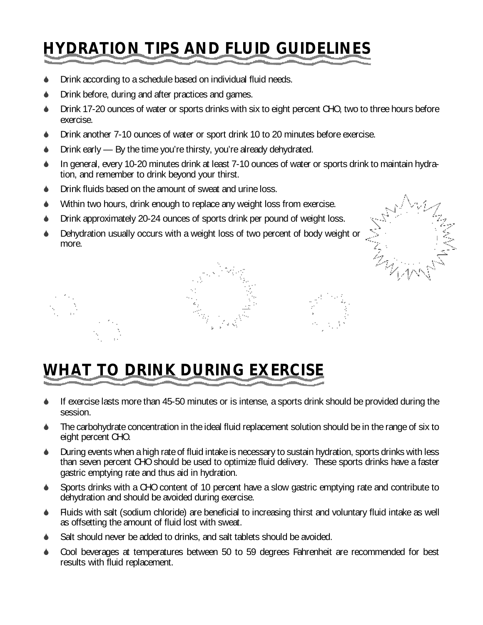# **HYDRATION TIPS AND FLUID GUIDELINES**

- Drink according to a schedule based on individual fluid needs.
- Drink before, during and after practices and games.
- $\bullet$  Drink 17-20 ounces of water or sports drinks with six to eight percent CHO, two to three hours before exercise.
- $\bullet$  Drink another 7-10 ounces of water or sport drink 10 to 20 minutes before exercise.
- $\bullet$  Drink early By the time you're thirsty, you're already dehydrated.
- $\bullet$  In general, every 10-20 minutes drink at least 7-10 ounces of water or sports drink to maintain hydration, and remember to drink beyond your thirst.
- $\bullet$  Drink fluids based on the amount of sweat and urine loss.
- $\blacklozenge$  Within two hours, drink enough to replace any weight loss from exercise.
- $\bullet$  Drink approximately 20-24 ounces of sports drink per pound of weight loss.
- Dehydration usually occurs with a weight loss of two percent of body weight or more.





## **WHAT TO DRINK DURING EXERCISE**

- If exercise lasts more than 45-50 minutes or is intense, a sports drink should be provided during the session.
- The carbohydrate concentration in the ideal fluid replacement solution should be in the range of six to eight percent CHO.
- S During events when a high rate of fluid intake is necessary to sustain hydration, sports drinks with less than seven percent CHO should be used to optimize fluid delivery. These sports drinks have a faster gastric emptying rate and thus aid in hydration.
- Sports drinks with a CHO content of 10 percent have a slow gastric emptying rate and contribute to dehydration and should be avoided during exercise.
- S Fluids with salt (sodium chloride) are beneficial to increasing thirst and voluntary fluid intake as well as offsetting the amount of fluid lost with sweat.
- Salt should never be added to drinks, and salt tablets should be avoided.
- Cool beverages at temperatures between 50 to 59 degrees Fahrenheit are recommended for best results with fluid replacement.